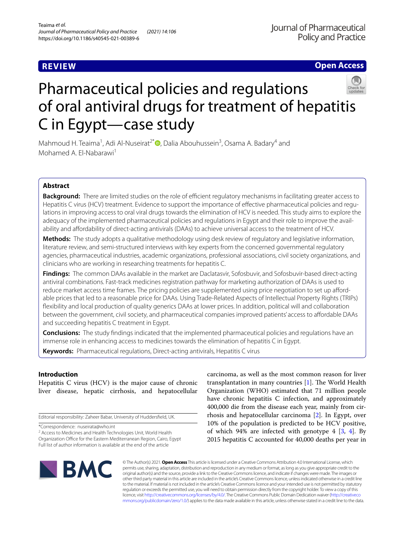# **REVIEW**

**Open Access**

# Pharmaceutical policies and regulations of oral antiviral drugs for treatment of hepatitis C in Egypt—case study

Mahmoud H. Teaima<sup>1</sup>[,](http://orcid.org/0000-0002-7259-7577) Adi Al-Nuseirat<sup>2\*</sup><sup>D</sup>, Dalia Abouhussein<sup>3</sup>, Osama A. Badary<sup>4</sup> and Mohamed A. El-Nabarawi<sup>1</sup>

# **Abstract**

**Background:** There are limited studies on the role of efficient regulatory mechanisms in facilitating greater access to Hepatitis C virus (HCV) treatment. Evidence to support the importance of effective pharmaceutical policies and requlations in improving access to oral viral drugs towards the elimination of HCV is needed. This study aims to explore the adequacy of the implemented pharmaceutical policies and regulations in Egypt and their role to improve the availability and affordability of direct-acting antivirals (DAAs) to achieve universal access to the treatment of HCV.

**Methods:** The study adopts a qualitative methodology using desk review of regulatory and legislative information, literature review, and semi-structured interviews with key experts from the concerned governmental regulatory agencies, pharmaceutical industries, academic organizations, professional associations, civil society organizations, and clinicians who are working in researching treatments for hepatitis C.

**Findings:** The common DAAs available in the market are Daclatasvir, Sofosbuvir, and Sofosbuvir-based direct-acting antiviral combinations. Fast-track medicines registration pathway for marketing authorization of DAAs is used to reduce market access time frames. The pricing policies are supplemented using price negotiation to set up affordable prices that led to a reasonable price for DAAs. Using Trade-Related Aspects of Intellectual Property Rights (TRIPs) fexibility and local production of quality generics DAAs at lower prices. In addition, political will and collaboration between the government, civil society, and pharmaceutical companies improved patients' access to afordable DAAs and succeeding hepatitis C treatment in Egypt.

**Conclusions:** The study fndings indicated that the implemented pharmaceutical policies and regulations have an immense role in enhancing access to medicines towards the elimination of hepatitis C in Egypt.

**Keywords:** Pharmaceutical regulations, Direct-acting antivirals, Hepatitis C virus

# **Introduction**

Hepatitis C virus (HCV) is the major cause of chronic liver disease, hepatic cirrhosis, and hepatocellular

Editorial responsibility: Zaheer Babar, University of Huddersfeld, UK.

\*Correspondence: nuseirata@who.int

<sup>2</sup> Access to Medicines and Health Technologies Unit, World Health Organization Office for the Eastern Mediterranean Region, Cairo, Egypt Full list of author information is available at the end of the article

carcinoma, as well as the most common reason for liver transplantation in many countries  $[1]$  $[1]$ . The World Health Organization (WHO) estimated that 71 million people have chronic hepatitis C infection, and approximately 400,000 die from the disease each year, mainly from cirrhosis and hepatocellular carcinoma [\[2](#page-9-1)]. In Egypt, over 10% of the population is predicted to be HCV positive, of which 9[4](#page-9-3)% are infected with genotype 4  $[3, 4]$  $[3, 4]$ . By 2015 hepatitis C accounted for 40,000 deaths per year in



© The Author(s) 2021. **Open Access** This article is licensed under a Creative Commons Attribution 4.0 International License, which permits use, sharing, adaptation, distribution and reproduction in any medium or format, as long as you give appropriate credit to the original author(s) and the source, provide a link to the Creative Commons licence, and indicate if changes were made. The images or other third party material in this article are included in the article's Creative Commons licence, unless indicated otherwise in a credit line to the material. If material is not included in the article's Creative Commons licence and your intended use is not permitted by statutory regulation or exceeds the permitted use, you will need to obtain permission directly from the copyright holder. To view a copy of this licence, visit [http://creativecommons.org/licenses/by/4.0/.](http://creativecommons.org/licenses/by/4.0/) The Creative Commons Public Domain Dedication waiver ([http://creativeco](http://creativecommons.org/publicdomain/zero/1.0/) [mmons.org/publicdomain/zero/1.0/](http://creativecommons.org/publicdomain/zero/1.0/)) applies to the data made available in this article, unless otherwise stated in a credit line to the data.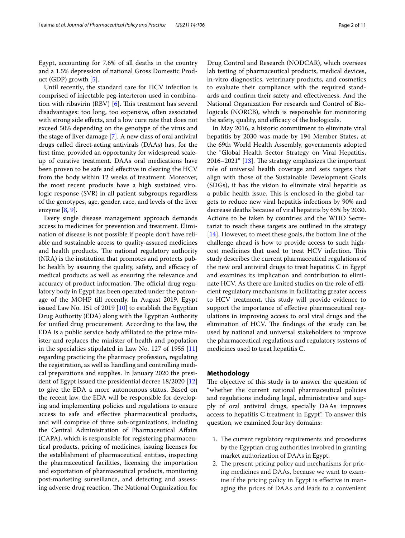Egypt, accounting for 7.6% of all deaths in the country and a 1.5% depression of national Gross Domestic Product (GDP) growth [[5\]](#page-9-4).

Until recently, the standard care for HCV infection is comprised of injectable peg-interferon used in combination with ribavirin (RBV)  $[6]$  $[6]$ . This treatment has several disadvantages: too long, too expensive, often associated with strong side efects, and a low cure rate that does not exceed 50% depending on the genotype of the virus and the stage of liver damage [\[7\]](#page-9-6). A new class of oral antiviral drugs called direct-acting antivirals (DAAs) has, for the frst time, provided an opportunity for widespread scaleup of curative treatment. DAAs oral medications have been proven to be safe and efective in clearing the HCV from the body within 12 weeks of treatment. Moreover, the most recent products have a high sustained virologic response (SVR) in all patient subgroups regardless of the genotypes, age, gender, race, and levels of the liver enzyme [[8,](#page-9-7) [9](#page-9-8)].

Every single disease management approach demands access to medicines for prevention and treatment. Elimination of disease is not possible if people don't have reliable and sustainable access to quality-assured medicines and health products. The national regulatory authority (NRA) is the institution that promotes and protects public health by assuring the quality, safety, and efficacy of medical products as well as ensuring the relevance and accuracy of product information. The official drug regulatory body in Egypt has been operated under the patronage of the MOHP till recently. In August 2019, Egypt issued Law No. 151 of 2019 [[10](#page-9-9)] to establish the Egyptian Drug Authority (EDA) along with the Egyptian Authority for unifed drug procurement. According to the law, the EDA is a public service body afliated to the prime minister and replaces the minister of health and population in the specialties stipulated in Law No. 127 of 1955 [[11](#page-9-10)] regarding practicing the pharmacy profession, regulating the registration, as well as handling and controlling medical preparations and supplies. In January 2020 the president of Egypt issued the presidential decree 18/2020 [[12](#page-9-11)] to give the EDA a more autonomous status. Based on the recent law, the EDA will be responsible for developing and implementing policies and regulations to ensure access to safe and efective pharmaceutical products, and will comprise of three sub-organizations, including the Central Administration of Pharmaceutical Afairs (CAPA), which is responsible for registering pharmaceutical products, pricing of medicines, issuing licenses for the establishment of pharmaceutical entities, inspecting the pharmaceutical facilities, licensing the importation and exportation of pharmaceutical products, monitoring post-marketing surveillance, and detecting and assessing adverse drug reaction. The National Organization for Drug Control and Research (NODCAR), which oversees lab testing of pharmaceutical products, medical devices, in-vitro diagnostics, veterinary products, and cosmetics to evaluate their compliance with the required standards and confrm their safety and efectiveness. And the National Organization For research and Control of Biologicals (NORCB), which is responsible for monitoring the safety, quality, and efficacy of the biologicals.

In May 2016, a historic commitment to eliminate viral hepatitis by 2030 was made by 194 Member States, at the 69th World Health Assembly, governments adopted the "Global Health Sector Strategy on Viral Hepatitis, 2016–2021"  $[13]$  $[13]$ . The strategy emphasizes the important role of universal health coverage and sets targets that align with those of the Sustainable Development Goals (SDGs), it has the vision to eliminate viral hepatitis as a public health issue. This is enclosed in the global targets to reduce new viral hepatitis infections by 90% and decrease deaths because of viral hepatitis by 65% by 2030. Actions to be taken by countries and the WHO Secretariat to reach these targets are outlined in the strategy [[14\]](#page-9-13). However, to meet these goals, the bottom line of the challenge ahead is how to provide access to such highcost medicines that used to treat HCV infection. This study describes the current pharmaceutical regulations of the new oral antiviral drugs to treat hepatitis C in Egypt and examines its implication and contribution to eliminate HCV. As there are limited studies on the role of efficient regulatory mechanisms in facilitating greater access to HCV treatment, this study will provide evidence to support the importance of efective pharmaceutical regulations in improving access to oral viral drugs and the elimination of HCV. The findings of the study can be used by national and universal stakeholders to improve the pharmaceutical regulations and regulatory systems of medicines used to treat hepatitis C.

### **Methodology**

The objective of this study is to answer the question of "whether the current national pharmaceutical policies and regulations including legal, administrative and supply of oral antiviral drugs, specially DAAs improves access to hepatitis C treatment in Egypt". To answer this question, we examined four key domains:

- 1. The current regulatory requirements and procedures by the Egyptian drug authorities involved in granting market authorization of DAAs in Egypt.
- 2. The present pricing policy and mechanisms for pricing medicines and DAAs, because we want to examine if the pricing policy in Egypt is efective in managing the prices of DAAs and leads to a convenient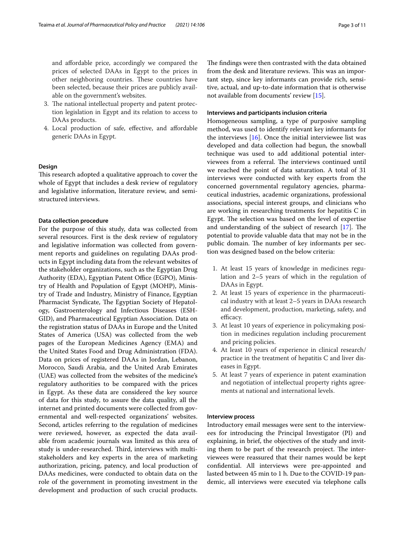and afordable price, accordingly we compared the prices of selected DAAs in Egypt to the prices in other neighboring countries. These countries have been selected, because their prices are publicly available on the government's websites.

- 3. The national intellectual property and patent protection legislation in Egypt and its relation to access to DAAs products.
- 4. Local production of safe, efective, and afordable generic DAAs in Egypt.

# **Design**

This research adopted a qualitative approach to cover the whole of Egypt that includes a desk review of regulatory and legislative information, literature review, and semistructured interviews.

### **Data collection procedure**

For the purpose of this study, data was collected from several resources. First is the desk review of regulatory and legislative information was collected from government reports and guidelines on regulating DAAs products in Egypt including data from the relevant websites of the stakeholder organizations, such as the Egyptian Drug Authority (EDA), Egyptian Patent Office (EGPO), Ministry of Health and Population of Egypt (MOHP), Ministry of Trade and Industry, Ministry of Finance, Egyptian Pharmacist Syndicate, The Egyptian Society of Hepatology, Gastroenterology and Infectious Diseases (ESH-GID), and Pharmaceutical Egyptian Association. Data on the registration status of DAAs in Europe and the United States of America (USA) was collected from the web pages of the European Medicines Agency (EMA) and the United States Food and Drug Administration (FDA). Data on prices of registered DAAs in Jordan, Lebanon, Morocco, Saudi Arabia, and the United Arab Emirates (UAE) was collected from the websites of the medicine's regulatory authorities to be compared with the prices in Egypt. As these data are considered the key source of data for this study, to assure the data quality, all the internet and printed documents were collected from governmental and well-respected organizations' websites. Second, articles referring to the regulation of medicines were reviewed, however, as expected the data available from academic journals was limited as this area of study is under-researched. Third, interviews with multistakeholders and key experts in the area of marketing authorization, pricing, patency, and local production of DAAs medicines, were conducted to obtain data on the role of the government in promoting investment in the development and production of such crucial products. The findings were then contrasted with the data obtained from the desk and literature reviews. This was an important step, since key informants can provide rich, sensitive, actual, and up-to-date information that is otherwise not available from documents' review [\[15](#page-9-14)].

### **Interviews and participants inclusion criteria**

Homogeneous sampling, a type of purposive sampling method, was used to identify relevant key informants for the interviews  $[16]$  $[16]$ . Once the initial interviewee list was developed and data collection had begun, the snowball technique was used to add additional potential interviewees from a referral. The interviews continued until we reached the point of data saturation. A total of 31 interviews were conducted with key experts from the concerned governmental regulatory agencies, pharmaceutical industries, academic organizations, professional associations, special interest groups, and clinicians who are working in researching treatments for hepatitis C in Egypt. The selection was based on the level of expertise and understanding of the subject of research  $[17]$  $[17]$ . The potential to provide valuable data that may not be in the public domain. The number of key informants per section was designed based on the below criteria:

- 1. At least 15 years of knowledge in medicines regulation and 2–5 years of which in the regulation of DAAs in Egypt.
- 2. At least 15 years of experience in the pharmaceutical industry with at least 2–5 years in DAAs research and development, production, marketing, safety, and efficacy.
- 3. At least 10 years of experience in policymaking position in medicines regulation including procurement and pricing policies.
- 4. At least 10 years of experience in clinical research/ practice in the treatment of hepatitis C and liver diseases in Egypt.
- 5. At least 7 years of experience in patent examination and negotiation of intellectual property rights agreements at national and international levels.

# **Interview process**

Introductory email messages were sent to the interviewees for introducing the Principal Investigator (PI) and explaining, in brief, the objectives of the study and inviting them to be part of the research project. The interviewees were reassured that their names would be kept confdential. All interviews were pre-appointed and lasted between 45 min to 1 h. Due to the COVID-19 pandemic, all interviews were executed via telephone calls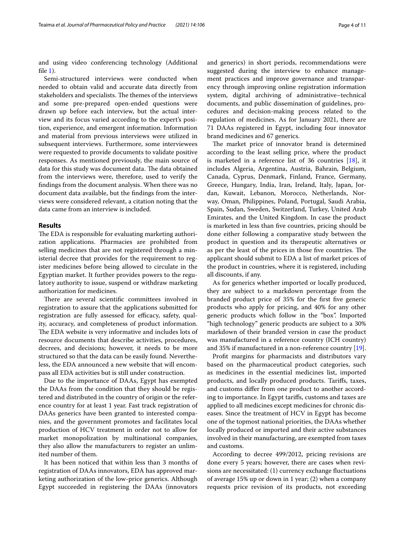and using video conferencing technology (Additional fle [1](#page-9-17)).

Semi-structured interviews were conducted when needed to obtain valid and accurate data directly from stakeholders and specialists. The themes of the interviews and some pre-prepared open-ended questions were drawn up before each interview, but the actual interview and its focus varied according to the expert's position, experience, and emergent information. Information and material from previous interviews were utilized in subsequent interviews. Furthermore, some interviewees were requested to provide documents to validate positive responses. As mentioned previously, the main source of data for this study was document data. The data obtained from the interviews were, therefore, used to verify the fndings from the document analysis. When there was no document data available, but the fndings from the interviews were considered relevant, a citation noting that the data came from an interview is included.

# **Results**

The EDA is responsible for evaluating marketing authorization applications. Pharmacies are prohibited from selling medicines that are not registered through a ministerial decree that provides for the requirement to register medicines before being allowed to circulate in the Egyptian market. It further provides powers to the regulatory authority to issue, suspend or withdraw marketing authorization for medicines.

There are several scientific committees involved in registration to assure that the applications submitted for registration are fully assessed for efficacy, safety, quality, accuracy, and completeness of product information. The EDA website is very informative and includes lots of resource documents that describe activities, procedures, decrees, and decisions; however, it needs to be more structured so that the data can be easily found. Nevertheless, the EDA announced a new website that will encompass all EDA activities but is still under construction.

Due to the importance of DAAs, Egypt has exempted the DAAs from the condition that they should be registered and distributed in the country of origin or the reference country for at least 1 year. Fast track registration of DAAs generics have been granted to interested companies, and the government promotes and facilitates local production of HCV treatment in order not to allow for market monopolization by multinational companies, they also allow the manufacturers to register an unlimited number of them.

It has been noticed that within less than 3 months of registration of DAAs innovators, EDA has approved marketing authorization of the low-price generics. Although Egypt succeeded in registering the DAAs (innovators and generics) in short periods, recommendations were suggested during the interview to enhance management practices and improve governance and transparency through improving online registration information system, digital archiving of administrative–technical documents, and public dissemination of guidelines, procedures and decision-making process related to the regulation of medicines. As for January 2021, there are 71 DAAs registered in Egypt, including four innovator brand medicines and 67 generics.

The market price of innovator brand is determined according to the least selling price, where the product is marketed in a reference list of 36 countries [[18\]](#page-9-18), it includes Algeria, Argentina, Austria, Bahrain, Belgium, Canada, Cyprus, Denmark, Finland, France, Germany, Greece, Hungary, India, Iran, Ireland, Italy, Japan, Jordan, Kuwait, Lebanon, Morocco, Netherlands, Norway, Oman, Philippines, Poland, Portugal, Saudi Arabia, Spain, Sudan, Sweden, Switzerland, Turkey, United Arab Emirates, and the United Kingdom. In case the product is marketed in less than fve countries, pricing should be done either following a comparative study between the product in question and its therapeutic alternatives or as per the least of the prices in those five countries. The applicant should submit to EDA a list of market prices of the product in countries, where it is registered, including all discounts, if any.

As for generics whether imported or locally produced, they are subject to a markdown percentage from the branded product price of 35% for the frst fve generic products who apply for pricing, and 40% for any other generic products which follow in the "box". Imported "high technology" generic products are subject to a 30% markdown of their branded version in case the product was manufactured in a reference country (ICH country) and 35% if manufactured in a non-reference country [\[19](#page-9-19)].

Proft margins for pharmacists and distributors vary based on the pharmaceutical product categories, such as medicines in the essential medicines list, imported products, and locally produced products. Tarifs, taxes, and customs difer from one product to another according to importance. In Egypt tarifs, customs and taxes are applied to all medicines except medicines for chronic diseases. Since the treatment of HCV in Egypt has become one of the topmost national priorities, the DAAs whether locally produced or imported and their active substances involved in their manufacturing, are exempted from taxes and customs.

According to decree 499/2012, pricing revisions are done every 5 years; however, there are cases when revisions are necessitated: (1) currency exchange fuctuations of average 15% up or down in 1 year; (2) when a company requests price revision of its products, not exceeding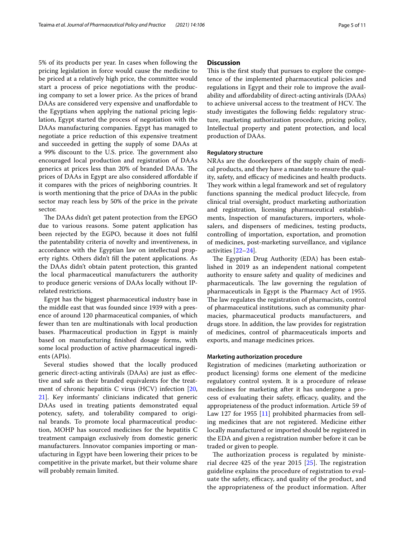5% of its products per year. In cases when following the pricing legislation in force would cause the medicine to be priced at a relatively high price, the committee would start a process of price negotiations with the producing company to set a lower price. As the prices of brand DAAs are considered very expensive and unaffordable to the Egyptians when applying the national pricing legislation, Egypt started the process of negotiation with the DAAs manufacturing companies. Egypt has managed to negotiate a price reduction of this expensive treatment and succeeded in getting the supply of some DAAs at a 99% discount to the U.S. price. The government also encouraged local production and registration of DAAs generics at prices less than 20% of branded DAAs. The prices of DAAs in Egypt are also considered afordable if it compares with the prices of neighboring countries. It is worth mentioning that the price of DAAs in the public sector may reach less by 50% of the price in the private sector.

The DAAs didn't get patent protection from the EPGO due to various reasons. Some patent application has been rejected by the EGPO, because it does not fulfl the patentability criteria of novelty and inventiveness, in accordance with the Egyptian law on intellectual property rights. Others didn't fll the patent applications. As the DAAs didn't obtain patent protection, this granted the local pharmaceutical manufacturers the authority to produce generic versions of DAAs locally without IPrelated restrictions.

Egypt has the biggest pharmaceutical industry base in the middle east that was founded since 1939 with a presence of around 120 pharmaceutical companies, of which fewer than ten are multinationals with local production bases. Pharmaceutical production in Egypt is mainly based on manufacturing fnished dosage forms, with some local production of active pharmaceutical ingredients (APIs).

Several studies showed that the locally produced generic direct-acting antivirals (DAAs) are just as efective and safe as their branded equivalents for the treatment of chronic hepatitis C virus (HCV) infection [\[20](#page-9-20), [21\]](#page-9-21). Key informants' clinicians indicated that generic DAAs used in treating patients demonstrated equal potency, safety, and tolerability compared to original brands. To promote local pharmaceutical production, MOHP has sourced medicines for the hepatitis C treatment campaign exclusively from domestic generic manufacturers. Innovator companies importing or manufacturing in Egypt have been lowering their prices to be competitive in the private market, but their volume share will probably remain limited.

# **Discussion**

This is the first study that pursues to explore the competence of the implemented pharmaceutical policies and regulations in Egypt and their role to improve the availability and afordability of direct-acting antivirals (DAAs) to achieve universal access to the treatment of HCV. The study investigates the following felds: regulatory structure, marketing authorization procedure, pricing policy, Intellectual property and patent protection, and local production of DAAs.

### **Regulatory structure**

NRAs are the doorkeepers of the supply chain of medical products, and they have a mandate to ensure the quality, safety, and efficacy of medicines and health products. They work within a legal framework and set of regulatory functions spanning the medical product lifecycle, from clinical trial oversight, product marketing authorization and registration, licensing pharmaceutical establishments, Inspection of manufacturers, importers, wholesalers, and dispensers of medicines, testing products, controlling of importation, exportation, and promotion of medicines, post-marketing surveillance, and vigilance activities [[22](#page-9-22)[–24](#page-10-0)].

The Egyptian Drug Authority (EDA) has been established in 2019 as an independent national competent authority to ensure safety and quality of medicines and pharmaceuticals. The law governing the regulation of pharmaceuticals in Egypt is the Pharmacy Act of 1955. The law regulates the registration of pharmacists, control of pharmaceutical institutions, such as community pharmacies, pharmaceutical products manufacturers, and drugs store. In addition, the law provides for registration of medicines, control of pharmaceuticals imports and exports, and manage medicines prices.

# **Marketing authorization procedure**

Registration of medicines (marketing authorization or product licensing) forms one element of the medicine regulatory control system. It is a procedure of release medicines for marketing after it has undergone a process of evaluating their safety, efficacy, quality, and the appropriateness of the product information. Article 59 of Law 127 for 1955 [[11\]](#page-9-10) prohibited pharmacies from selling medicines that are not registered. Medicine either locally manufactured or imported should be registered in the EDA and given a registration number before it can be traded or given to people.

The authorization process is regulated by ministerial decree 425 of the year 2015  $[25]$  $[25]$ . The registration guideline explains the procedure of registration to evaluate the safety, efficacy, and quality of the product, and the appropriateness of the product information. After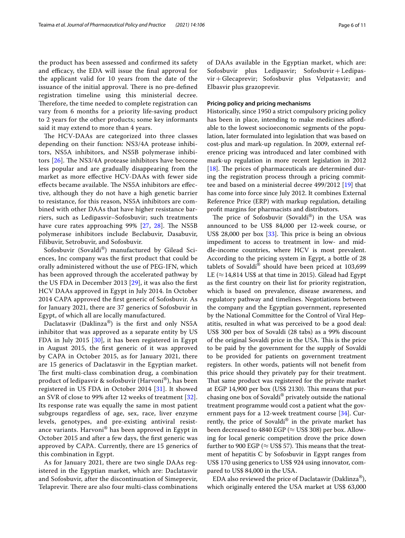the product has been assessed and confrmed its safety and efficacy, the EDA will issue the final approval for the applicant valid for 10 years from the date of the issuance of the initial approval. There is no pre-defined registration timeline using this ministerial decree. Therefore, the time needed to complete registration can vary from 6 months for a priority life-saving product to 2 years for the other products; some key informants said it may extend to more than 4 years.

The HCV-DAAs are categorized into three classes depending on their function: NS3/4A protease inhibitors, NS5A inhibitors, and NS5B polymerase inhibitors  $[26]$  $[26]$ . The NS3/4A protease inhibitors have become less popular and are gradually disappearing from the market as more efective HCV-DAAs with fewer side effects became available. The NS5A inhibitors are effective, although they do not have a high genetic barrier to resistance, for this reason, NS5A inhibitors are combined with other DAAs that have higher resistance barriers, such as Ledipasvir–Sofosbuvir; such treatments have cure rates approaching  $99\%$  [[27,](#page-10-3) [28\]](#page-10-4). The NS5B polymerase inhibitors include Beclabuvir, Dasabuvir, Filibuvir, Setrobuvir, and Sofosbuvir.

Sofosbuvir (Sovaldi®) manufactured by Gilead Sciences, Inc company was the frst product that could be orally administered without the use of PEG-IFN, which has been approved through the accelerated pathway by the US FDA in December 2013 [\[29](#page-10-5)], it was also the frst HCV DAAs approved in Egypt in July 2014. In October 2014 CAPA approved the frst generic of Sofosbuvir. As for January 2021, there are 37 generics of Sofosbuvir in Egypt, of which all are locally manufactured.

Daclatasvir (Daklinza®) is the frst and only NS5A inhibitor that was approved as a separate entity by US FDA in July 2015 [\[30](#page-10-6)], it has been registered in Egypt in August 2015, the frst generic of it was approved by CAPA in October 2015, as for January 2021, there are 15 generics of Daclatasvir in the Egyptian market. The first multi-class combination drug, a combination product of ledipasvir & sofosbuvir (Harvoni®), has been registered in US FDA in October 2014 [[31\]](#page-10-7). It showed an SVR of close to 99% after 12 weeks of treatment [[32\]](#page-10-8). Its response rate was equally the same in most patient subgroups regardless of age, sex, race, liver enzyme levels, genotypes, and pre-existing antiviral resistance variants. Harvoni® has been approved in Egypt in October 2015 and after a few days, the frst generic was approved by CAPA. Currently, there are 15 generics of this combination in Egypt.

As for January 2021, there are two single DAAs registered in the Egyptian market, which are: Daclatasvir and Sofosbuvir, after the discontinuation of Simeprevir, Telaprevir. There are also four multi-class combinations of DAAs available in the Egyptian market, which are: Sofosbuvir plus Ledipasvir; Sofosbuvir+Ledipasvir+Glecaprevir; Sofosbuvir plus Velpatasvir; and Elbasvir plus grazoprevir.

# **Pricing policy and pricing mechanisms**

Historically, since 1950 a strict compulsory pricing policy has been in place, intending to make medicines afordable to the lowest socioeconomic segments of the population, later formulated into legislation that was based on cost-plus and mark-up regulation. In 2009, external reference pricing was introduced and later combined with mark-up regulation in more recent legislation in 2012 [ $18$ ]. The prices of pharmaceuticals are determined during the registration process through a pricing committee and based on a ministerial decree 499/2012 [\[19](#page-9-19)] that has come into force since July 2012. It combines External Reference Price (ERP) with markup regulation, detailing proft margins for pharmacists and distributors.

The price of Sofosbuvir (Sovaldi®) in the USA was announced to be US\$ 84,000 per 12-week course, or US\$ 28,000 per box  $[33]$  $[33]$ . This price is being an obvious impediment to access to treatment in low- and middle-income countries, where HCV is most prevalent. According to the pricing system in Egypt, a bottle of 28 tablets of Sovaldi® should have been priced at 103,699 LE ( $\approx$  14,814 US\$ at that time in 2015). Gilead had Egypt as the frst country on their list for priority registration, which is based on prevalence, disease awareness, and regulatory pathway and timelines. Negotiations between the company and the Egyptian government, represented by the National Committee for the Control of Viral Hepatitis, resulted in what was perceived to be a good deal: US\$ 300 per box of Sovaldi (28 tabs) as a 99% discount of the original Sovaldi price in the USA. This is the price to be paid by the government for the supply of Sovaldi to be provided for patients on government treatment registers. In other words, patients will not beneft from this price should they privately pay for their treatment. That same product was registered for the private market at EGP 14,900 per box (US\$ 2130). This means that purchasing one box of Sovaldi® privately outside the national treatment programme would cost a patient what the gov-ernment pays for a 12-week treatment course [\[34\]](#page-10-10). Currently, the price of Sovaldi® in the private market has been decreased to 4840 EGP ( $\approx$  US\$ 308) per box. Allowing for local generic competition drove the price down further to 900 EGP ( $\approx$  US\$ 57). This means that the treatment of hepatitis C by Sofosbuvir in Egypt ranges from US\$ 170 using generics to US\$ 924 using innovator, compared to US\$ 84,000 in the USA.

EDA also reviewed the price of Daclatasvir (Daklinza®), which originally entered the USA market at US\$ 63,000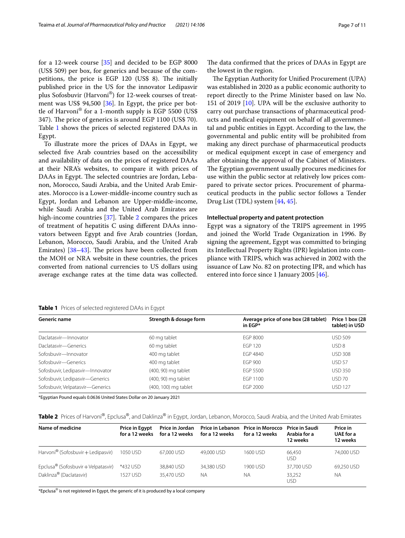for a 12-week course [\[35\]](#page-10-11) and decided to be EGP 8000 (US\$ 509) per box, for generics and because of the competitions, the price is EGP 120 (US\$ 8). The initially published price in the US for the innovator Ledipasvir plus Sofosbuvir (Harvoni®) for 12-week courses of treatment was US\$ 94,500 [[36\]](#page-10-12). In Egypt, the price per bottle of Harvoni® for a 1-month supply is EGP 5500 (US\$ 347). The price of generics is around EGP 1100 (US\$ 70). Table [1](#page-6-0) shows the prices of selected registered DAAs in Egypt.

To illustrate more the prices of DAAs in Egypt, we selected fve Arab countries based on the accessibility and availability of data on the prices of registered DAAs at their NRA's websites, to compare it with prices of DAAs in Egypt. The selected countries are Jordan, Lebanon, Morocco, Saudi Arabia, and the United Arab Emirates. Morocco is a Lower-middle-income country such as Egypt, Jordan and Lebanon are Upper-middle-income, while Saudi Arabia and the United Arab Emirates are high-income countries [\[37](#page-10-13)]. Table [2](#page-6-1) compares the prices of treatment of hepatitis C using diferent DAAs innovators between Egypt and fve Arab countries (Jordan, Lebanon, Morocco, Saudi Arabia, and the United Arab Emirates)  $[38-43]$  $[38-43]$  $[38-43]$ . The prices have been collected from the MOH or NRA website in these countries, the prices converted from national currencies to US dollars using average exchange rates at the time data was collected.

The data confirmed that the prices of DAAs in Egypt are the lowest in the region.

The Egyptian Authority for Unified Procurement (UPA) was established in 2020 as a public economic authority to report directly to the Prime Minister based on law No. 151 of 2019 [\[10](#page-9-9)]. UPA will be the exclusive authority to carry out purchase transactions of pharmaceutical products and medical equipment on behalf of all governmental and public entities in Egypt. According to the law, the governmental and public entity will be prohibited from making any direct purchase of pharmaceutical products or medical equipment except in case of emergency and after obtaining the approval of the Cabinet of Ministers. The Egyptian government usually procures medicines for use within the public sector at relatively low prices compared to private sector prices. Procurement of pharmaceutical products in the public sector follows a Tender Drug List (TDL) system [[44](#page-10-16), [45\]](#page-10-17).

### **Intellectual property and patent protection**

Egypt was a signatory of the TRIPS agreement in 1995 and joined the World Trade Organization in 1996. By signing the agreement, Egypt was committed to bringing its Intellectual Property Rights (IPR) legislation into compliance with TRIPS, which was achieved in 2002 with the issuance of Law No. 82 on protecting IPR, and which has entered into force since 1 January 2005 [\[46](#page-10-18)].

<span id="page-6-0"></span>**Table 1** Prices of selected registered DAAs in Egypt

| Generic name                                             | Strength & dosage form | Average price of one box (28 tablet)<br>in $EGP*$ | Price 1 box (28<br>tablet) in USD |  |
|----------------------------------------------------------|------------------------|---------------------------------------------------|-----------------------------------|--|
| Daclatasvir-Innovator                                    | 60 mg tablet           | EGP 8000                                          | <b>USD 509</b>                    |  |
| Daclatasvir-Generics                                     | 60 mg tablet           | FGP 120                                           | USD <sub>8</sub>                  |  |
| Sofosbuvir-Innovator                                     | 400 mg tablet          | FGP 4840                                          | <b>USD 308</b>                    |  |
| Sofosbuvir-Generics                                      | 400 mg tablet          | FGP 900                                           | USD <sub>57</sub>                 |  |
| Sofosbuvir, Ledipasvir-Innovator                         | (400, 90) mg tablet    | FGP 5500                                          | <b>USD 350</b>                    |  |
| Sofosbuvir, Ledipasvir-Generics                          | (400, 90) mg tablet    | EGP 1100                                          | <b>USD 70</b>                     |  |
| Sofosbuvir, Velpatasvir-Generics<br>(400, 100) mg tablet |                        | EGP 2000                                          | <b>USD 127</b>                    |  |

\*Egyptian Pound equals 0.0636 United States Dollar on 20 January 2021

<span id="page-6-1"></span>

| Table 2 Prices of Harvoni®, Epclusa®, and Daklinza® in Egypt, Jordan, Lebanon, Morocco, Saudi Arabia, and the United Arab Emirates |  |
|------------------------------------------------------------------------------------------------------------------------------------|--|
|------------------------------------------------------------------------------------------------------------------------------------|--|

| Name of medicine                                | <b>Price in Egypt</b><br>for a 12 weeks | Price in Jordan<br>for a 12 weeks | Price in Lebanon Price in Morocco<br>for a 12 weeks | for a 12 weeks | <b>Price in Saudi</b><br>Arabia for a<br>12 weeks | Price in<br><b>UAE</b> for a<br>12 weeks |
|-------------------------------------------------|-----------------------------------------|-----------------------------------|-----------------------------------------------------|----------------|---------------------------------------------------|------------------------------------------|
| Harvoni <sup>®</sup> (Sofosbuvir + Ledipasvir)  | 1050 USD                                | 67.000 USD                        | 49,000 USD                                          | 1600 USD       | 66.450<br>USD                                     | 74,000 USD                               |
| Epclusa <sup>®</sup> (Sofosbuvir + Velpatasvir) | *432 USD                                | 38,840 USD                        | 34,380 USD                                          | 1900 USD       | 37,700 USD                                        | 69.250 USD                               |
| Daklinza <sup>®</sup> (Daclatasvir)             | 1527 USD                                | 35,470 USD                        | ΝA                                                  | <b>NA</b>      | 33.252<br>USD                                     | <b>NA</b>                                |

\*Epclusa® is not registered in Egypt, the generic of it is produced by a local company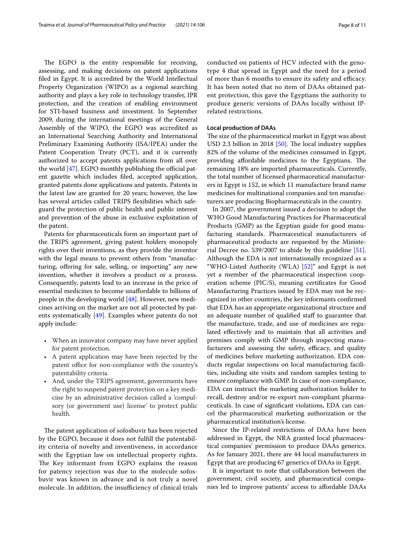The EGPO is the entity responsible for receiving, assessing, and making decisions on patent applications fled in Egypt. It is accredited by the World Intellectual Property Organization (WIPO) as a regional searching authority and plays a key role in technology transfer, IPR protection, and the creation of enabling environment for STI-based business and investment. In September 2009, during the international meetings of the General Assembly of the WIPO, the EGPO was accredited as an International Searching Authority and International Preliminary Examining Authority (ISA/IPEA) under the Patent Cooperation Treaty (PCT), and it is currently authorized to accept patents applications from all over the world  $[47]$ . EGPO monthly publishing the official patent gazette which includes fled, accepted application, granted patents done applications and patents. Patents in the latest law are granted for 20 years; however, the law has several articles called TRIPS fexibilities which safeguard the protection of public health and public interest and prevention of the abuse in exclusive exploitation of the patent.

Patents for pharmaceuticals form an important part of the TRIPS agreement, giving patent holders monopoly rights over their inventions, as they provide the inventor with the legal means to prevent others from "manufacturing, offering for sale, selling, or importing" any new invention, whether it involves a product or a process. Consequently, patents lead to an increase in the price of essential medicines to become unafordable to billions of people in the developing world [\[48](#page-10-20)]. However, new medicines arriving on the market are not all protected by patents systematically [\[49](#page-10-21)]. Examples where patents do not apply include:

- When an innovator company may have never applied for patent protection.
- A patent application may have been rejected by the patent office for non-compliance with the country's patentability criteria.
- And, under the TRIPS agreement, governments have the right to suspend patent protection on a key medicine by an administrative decision called a 'compulsory (or government use) license' to protect public health.

The patent application of sofosbuvir has been rejected by the EGPO, because it does not fulfll the patentability criteria of novelty and inventiveness, in accordance with the Egyptian law on intellectual property rights. The Key informant from EGPO explains the reason for patency rejection was due to the molecule sofosbuvir was known in advance and is not truly a novel molecule. In addition, the insufficiency of clinical trials conducted on patients of HCV infected with the genotype 4 that spread in Egypt and the need for a period of more than 6 months to ensure its safety and efficacy. It has been noted that no item of DAAs obtained patent protection, this gave the Egyptians the authority to produce generic versions of DAAs locally without IPrelated restrictions.

# **Local production of DAAs**

The size of the pharmaceutical market in Egypt was about USD 2.3 billion in 2018 [[50\]](#page-10-22). The local industry supplies 82% of the volume of the medicines consumed in Egypt, providing affordable medicines to the Egyptians. The remaining 18% are imported pharmaceuticals. Currently, the total number of licensed pharmaceutical manufacturers in Egypt is 152, in which 11 manufacture brand name medicines for multinational companies and ten manufacturers are producing Biopharmaceuticals in the country.

In 2007, the government issued a decision to adopt the WHO Good Manufacturing Practices for Pharmaceutical Products (GMP) as the Egyptian guide for good manufacturing standards. Pharmaceutical manufacturers of pharmaceutical products are requested by the Ministerial Decree no. 539/2007 to abide by this guideline [\[51](#page-10-23)]. Although the EDA is not internationally recognized as a "WHO-Listed Authority (WLA)  $[52]$  $[52]$ " and Egypt is not yet a member of the pharmaceutical inspection cooperation scheme (PIC/S), meaning certifcates for Good Manufacturing Practices issued by EDA may not be recognized in other countries, the key informants confrmed that EDA has an appropriate organizational structure and an adequate number of qualified staff to guarantee that the manufacture, trade, and use of medicines are regulated efectively and to maintain that all activities and premises comply with GMP through inspecting manufacturers and assessing the safety, efficacy, and quality of medicines before marketing authorization. EDA conducts regular inspections on local manufacturing facilities, including site visits and random samples testing to ensure compliance with GMP. In case of non-compliance, EDA can instruct the marketing authorization holder to recall, destroy and/or re-export non-compliant pharmaceuticals. In case of signifcant violations, EDA can cancel the pharmaceutical marketing authorization or the pharmaceutical institution's license.

Since the IP-related restrictions of DAAs have been addressed in Egypt, the NRA granted local pharmaceutical companies' permission to produce DAAs generics. As for January 2021, there are 44 local manufacturers in Egypt that are producing 67 generics of DAAs in Egypt.

It is important to note that collaboration between the government, civil society, and pharmaceutical companies led to improve patients' access to afordable DAAs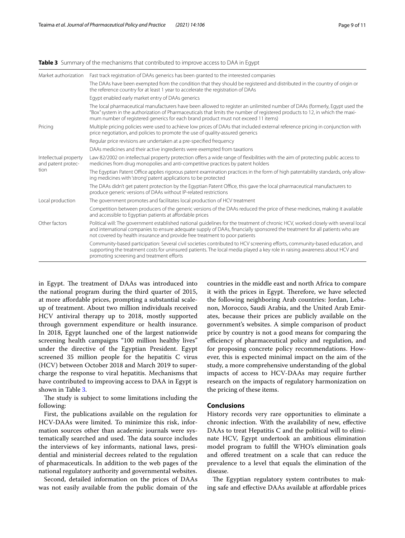# <span id="page-8-0"></span>**Table 3** Summary of the mechanisms that contributed to improve access to DAA in Egypt

| Market authorization                                | Fast track registration of DAAs generics has been granted to the interested companies                                                                                                                                                                                                                                                            |
|-----------------------------------------------------|--------------------------------------------------------------------------------------------------------------------------------------------------------------------------------------------------------------------------------------------------------------------------------------------------------------------------------------------------|
|                                                     | The DAAs have been exempted from the condition that they should be registered and distributed in the country of origin or<br>the reference country for at least 1 year to accelerate the registration of DAAs                                                                                                                                    |
|                                                     | Egypt enabled early market entry of DAAs generics                                                                                                                                                                                                                                                                                                |
|                                                     | The local pharmaceutical manufacturers have been allowed to register an unlimited number of DAAs (formerly, Egypt used the<br>"Box" system in the authorization of Pharmaceuticals that limits the number of registered products to 12, in which the maxi-<br>mum number of registered generics for each brand product must not exceed 11 items) |
| Pricing                                             | Multiple pricing policies were used to achieve low prices of DAAs that included external reference pricing in conjunction with<br>price negotiation, and policies to promote the use of quality-assured generics                                                                                                                                 |
|                                                     | Regular price revisions are undertaken at a pre-specified frequency                                                                                                                                                                                                                                                                              |
|                                                     | DAAs medicines and their active ingredients were exempted from taxations                                                                                                                                                                                                                                                                         |
| Intellectual property<br>and patent protec-<br>tion | Law 82/2002 on intellectual property protection offers a wide range of flexibilities with the aim of protecting public access to<br>medicines from drug monopolies and anti-competitive practices by patent holders                                                                                                                              |
|                                                     | The Egyptian Patent Office applies rigorous patent examination practices in the form of high patentability standards, only allow-<br>ing medicines with 'strong' patent applications to be protected                                                                                                                                             |
|                                                     | The DAAs didn't get patent protection by the Egyptian Patent Office, this gave the local pharmaceutical manufacturers to<br>produce generic versions of DAAs without IP-related restrictions                                                                                                                                                     |
| Local production                                    | The government promotes and facilitates local production of HCV treatment                                                                                                                                                                                                                                                                        |
|                                                     | Competition between producers of the generic versions of the DAAs reduced the price of these medicines, making it available<br>and accessible to Egyptian patients at affordable prices                                                                                                                                                          |
| Other factors                                       | Political will: The government established national quidelines for the treatment of chronic HCV, worked closely with several local<br>and international companies to ensure adequate supply of DAAs, financially sponsored the treatment for all patients who are<br>not covered by health insurance and provide free treatment to poor patients |
|                                                     | Community-based participation: Several civil societies contributed to HCV screening efforts, community-based education, and<br>supporting the treatment costs for uninsured patients. The local media played a key role in raising awareness about HCV and<br>promoting screening and treatment efforts                                          |
|                                                     |                                                                                                                                                                                                                                                                                                                                                  |

in Egypt. The treatment of DAAs was introduced into the national program during the third quarter of 2015, at more afordable prices, prompting a substantial scaleup of treatment. About two million individuals received HCV antiviral therapy up to 2018, mostly supported through government expenditure or health insurance. In 2018, Egypt launched one of the largest nationwide screening health campaigns "100 million healthy lives" under the directive of the Egyptian President. Egypt screened 35 million people for the hepatitis C virus (HCV) between October 2018 and March 2019 to supercharge the response to viral hepatitis. Mechanisms that have contributed to improving access to DAA in Egypt is shown in Table [3.](#page-8-0)

The study is subject to some limitations including the following:

First, the publications available on the regulation for HCV-DAAs were limited. To minimize this risk, information sources other than academic journals were systematically searched and used. The data source includes the interviews of key informants, national laws, presidential and ministerial decrees related to the regulation of pharmaceuticals. In addition to the web pages of the national regulatory authority and governmental websites.

Second, detailed information on the prices of DAAs was not easily available from the public domain of the countries in the middle east and north Africa to compare it with the prices in Egypt. Therefore, we have selected the following neighboring Arab countries: Jordan, Lebanon, Morocco, Saudi Arabia, and the United Arab Emirates, because their prices are publicly available on the government's websites. A simple comparison of product price by country is not a good means for comparing the efficiency of pharmaceutical policy and regulation, and for proposing concrete policy recommendations. However, this is expected minimal impact on the aim of the study, a more comprehensive understanding of the global impacts of access to HCV-DAAs may require further research on the impacts of regulatory harmonization on the pricing of these items.

# **Conclusions**

History records very rare opportunities to eliminate a chronic infection. With the availability of new, efective DAAs to treat Hepatitis C and the political will to eliminate HCV, Egypt undertook an ambitious elimination model program to fulfll the WHO's elimination goals and ofered treatment on a scale that can reduce the prevalence to a level that equals the elimination of the disease.

The Egyptian regulatory system contributes to making safe and efective DAAs available at afordable prices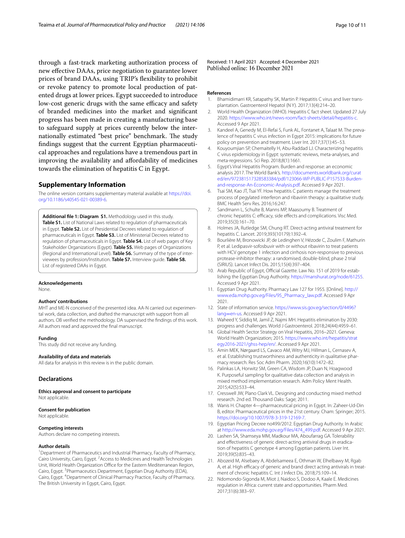through a fast-track marketing authorization process of new efective DAAs, price negotiation to guarantee lower prices of brand DAAs, using TRIP's fexibility to prohibit or revoke patency to promote local production of patented drugs at lower prices. Egypt succeeded to introduce low-cost generic drugs with the same efficacy and safety of branded medicines into the market and signifcant progress has been made in creating a manufacturing base to safeguard supply at prices currently below the internationally estimated "best price" benchmark. The study fndings suggest that the current Egyptian pharmaceutical approaches and regulations have a tremendous part in improving the availability and afordability of medicines towards the elimination of hepatitis C in Egypt.

# **Supplementary Information**

The online version contains supplementary material available at [https://doi.](https://doi.org/10.1186/s40545-021-00389-6) [org/10.1186/s40545-021-00389-6](https://doi.org/10.1186/s40545-021-00389-6).

<span id="page-9-17"></span>**Additional fle 1: Diagram S1.** Methodology used in this study. **Table S1.** List of National Laws related to regulation of pharmaceuticals in Egypt. **Table S2.** List of Presidential Decrees related to regulation of pharmaceuticals in Egypt. **Table S3.** List of Ministerial Decrees related to regulation of pharmaceuticals in Egypt. **Table S4.** List of web pages of Key Stakeholder Organizations (Egypt). **Table S5.** Web pages of Organizations (Regional and International Level). **Table S6.** Summary of the type of inter‑ viewees by profession/Institution. **Table S7.** Interview guide. **Table S8.** List of registered DAAs in Egypt.

# **Acknowledgements**

None.

### **Authors' contributions**

MHT and ME-N conceived of the presented idea. AA-N carried out experimental work, data collection, and drafted the manuscript with support from all authors. OB verifed the methodology. DA supervised the fndings of this work. All authors read and approved the fnal manuscript.

#### **Funding**

This study did not receive any funding.

# **Availability of data and materials**

All data for analysis in this review is in the public domain.

# **Declarations**

**Ethics approval and consent to participate** Not applicable.

### **Consent for publication**

Not applicable.

#### **Competing interests**

Authors declare no competing interests.

#### **Author details**

<sup>1</sup> Department of Pharmaceutics and Industrial Pharmacy, Faculty of Pharmacy, Cairo University, Cairo, Egypt. <sup>2</sup> Access to Medicines and Health Technologies Unit, World Health Organization Office for the Eastern Mediterranean Region, Cairo, Egypt. <sup>3</sup> Pharmaceutics Department, Egyptian Drug Authority (EDA), Cairo, Egypt. <sup>4</sup> Department of Clinical Pharmacy Practice, Faculty of Pharmacy, The British University in Egypt, Cairo, Egypt.

Received: 11 April 2021 Accepted: 4 December 2021

#### **References**

- <span id="page-9-0"></span>1. Bhamidimarri KR, Satapathy SK, Martin P. Hepatitis C virus and liver transplantation. Gastroenterol Hepatol (N Y). 2017;13(4):214–20.
- <span id="page-9-1"></span>2. World Health Organization (WHO). Hepatitis C fact sheet. Updated 27 July 2020. [https://www.who.int/news-room/fact-sheets/detail/hepatitis-c.](https://www.who.int/news-room/fact-sheets/detail/hepatitis-c) Accessed 9 Apr 2021.
- <span id="page-9-2"></span>3. Kandeel A, Genedy M, El-Refai S, Funk AL, Fontanet A, Talaat M. The prevalence of hepatitis C virus infection in Egypt 2015: implications for future policy on prevention and treatment. Liver Int. 2017;37(1):45–53.
- <span id="page-9-3"></span>4. Kouyoumjian SP, Chemaitelly H, Abu-Raddad LJ. Characterizing hepatitis C virus epidemiology in Egypt: systematic reviews, meta-analyses, and meta-regressions. Sci Rep. 2018;8(1):1661.
- <span id="page-9-4"></span>5. Egypt's Viral Hepatitis Program. Burden and response: an economic analysis 2017. The World Bank's. [http://documents.worldbank.org/curat](http://documents.worldbank.org/curated/en/972381517328583384/pdf/123066-WP-PUBLIC-P157533-Burden-and-response-An-Economic-Analysis.pdf) [ed/en/972381517328583384/pdf/123066-WP-PUBLIC-P157533-Burden](http://documents.worldbank.org/curated/en/972381517328583384/pdf/123066-WP-PUBLIC-P157533-Burden-and-response-An-Economic-Analysis.pdf) [and-response-An-Economic-Analysis.pdf.](http://documents.worldbank.org/curated/en/972381517328583384/pdf/123066-WP-PUBLIC-P157533-Burden-and-response-An-Economic-Analysis.pdf) Accessed 9 Apr 2021.
- <span id="page-9-5"></span>6. Tsai SM, Kao JT, Tsai YF. How hepatitis C patients manage the treatment process of pegylated interferon and ribavirin therapy: a qualitative study. BMC Health Serv Res. 2016;16:247.
- <span id="page-9-6"></span>7. Sandmann L, Schulte B, Manns MP, Maasoumy B. Treatment of chronic hepatitis C: efficacy, side effects and complications. Visc Med. 2019;35(3):161–70.
- <span id="page-9-7"></span>8. Holmes JA, Rutledge SM, Chung RT. Direct-acting antiviral treatment for hepatitis C. Lancet. 2019;393(10179):1392–4.
- <span id="page-9-8"></span>9. Bourlière M, Bronowicki JP, de Ledinghen V, Hézode C, Zoulim F, Mathurin P, et al. Ledipasvir-sofosbuvir with or without ribavirin to treat patients with HCV genotype 1 infection and cirrhosis non-responsive to previous protease-inhibitor therapy: a randomised, double-blind, phase 2 trial (SIRIUS). Lancet Infect Dis. 2015;15(4):397–404.
- <span id="page-9-9"></span>10. Arab Republic of Egypt, Official Gazette. Law No. 151 of 2019 for establishing the Egyptian Drug Authority.<https://manshurat.org/node/61255>. Accessed 9 Apr 2021.
- <span id="page-9-10"></span>11. Egyptian Drug Authority. Pharmacy Law 127 for 1955. [Online]. [http://](http://www.eda.mohp.gov.eg/Files/95_Pharmacy_law.pdf) [www.eda.mohp.gov.eg/Files/95\\_Pharmacy\\_law.pdf](http://www.eda.mohp.gov.eg/Files/95_Pharmacy_law.pdf). Accessed 9 Apr 2021.
- <span id="page-9-11"></span>12. State of information service. [https://www.sis.gov.eg/section/0/4496?](https://www.sis.gov.eg/section/0/4496?lang=en-us) lang=en-us. Accessed 9 Apr 2021.
- <span id="page-9-12"></span>13. [Waheed Y, S](https://www.sis.gov.eg/section/0/4496?lang=en-us)iddiq M, Jamil Z, Najmi MH. Hepatitis elimination by 2030: progress and challenges. World J Gastroenterol. 2018;24(44):4959–61.
- <span id="page-9-13"></span>14. Global Health Sector Strategy on Viral Hepatitis, 2016–2021. Geneva: World Health Organization; 2015. [https://www.who.int/hepatitis/strat](https://www.who.int/hepatitis/strategy2016-2021/ghss-hep/en/) [egy2016-2021/ghss-hep/en/.](https://www.who.int/hepatitis/strategy2016-2021/ghss-hep/en/) Accessed 9 Apr 2021.
- <span id="page-9-14"></span>15. Amin MEK, Nørgaard LS, Cavaco AM, Witry MJ, Hillman L, Cernasev A, et al. Establishing trustworthiness and authenticity in qualitative pharmacy research. Res Soc Adm Pharm. 2020;16(10):1472–82.
- <span id="page-9-15"></span>16. Palinkas LA, Horwitz SM, Green CA, Wisdom JP, Duan N, Hoagwood K. Purposeful sampling for qualitative data collection and analysis in mixed method implementation research. Adm Policy Ment Health. 2015;42(5):533–44.
- <span id="page-9-16"></span>17. Cresswell JW, Plano Clark VL. Designing and conducting mixed method research. 2nd ed. Thousand Oaks: Sage; 2011.
- <span id="page-9-18"></span>18. Wanis H. Chapter 4—pharmaceutical pricing in Egypt. In: Zaheer-Ud-Din B, editor. Pharmaceutical prices in the 21st century. Cham: Springer; 2015. <https://doi.org/10.1007/978-3-319-12169-7>.
- <span id="page-9-19"></span>19. Egyptian Pricing Decree no499/2012. Egyptian Drug Authority. In Arabic at [http://www.eda.mohp.gov.eg/Files/474\\_499.pdf](http://www.eda.mohp.gov.eg/Files/474_499.pdf). Accessed 9 Apr 2021.
- <span id="page-9-20"></span>20. Lashen SA, Shamseya MM, Madkour MA, Aboufarrag GA. Tolerability and effectiveness of generic direct-acting antiviral drugs in eradication of hepatitis C genotype 4 among Egyptian patients. Liver Int. 2019;39(5):835–43.
- <span id="page-9-21"></span>21. Abozeid M, Alsebaey A, Abdelsameea E, Othman W, Elhelbawy M, Rgab A, et al. High efficacy of generic and brand direct acting antivirals in treatment of chronic hepatitis C. Int J Infect Dis. 2018;75:109–14.
- <span id="page-9-22"></span>22. Ndomondo-Sigonda M, Miot J, Naidoo S, Dodoo A, Kaale E. Medicines regulation in Africa: current state and opportunities. Pharm Med. 2017;31(6):383–97.